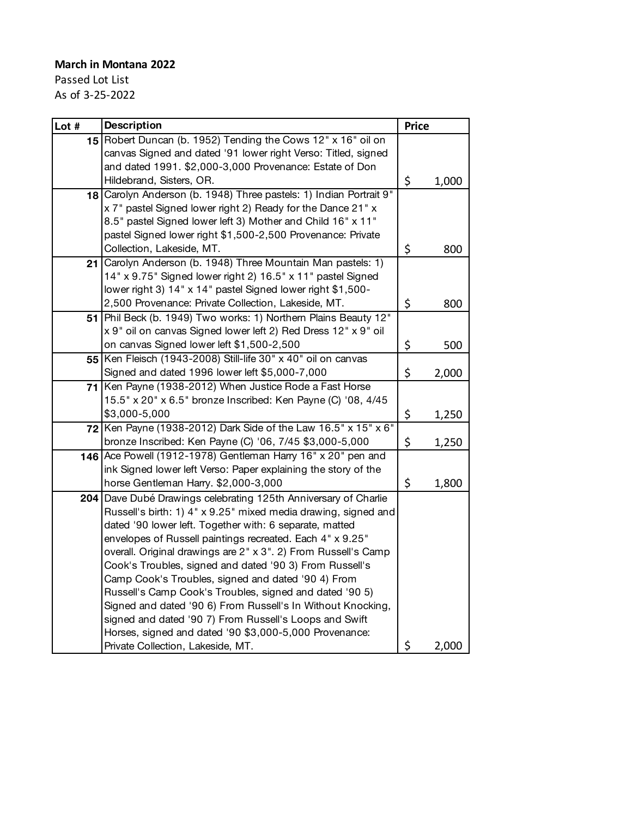## **March in Montana 2022**

Passed Lot List As of 3-25-2022

| Lot # | <b>Description</b>                                                                                                                                                                                                                                                                                                                                                                                                                                                                                                                                                                                                                                                                                                          | <b>Price</b> |            |
|-------|-----------------------------------------------------------------------------------------------------------------------------------------------------------------------------------------------------------------------------------------------------------------------------------------------------------------------------------------------------------------------------------------------------------------------------------------------------------------------------------------------------------------------------------------------------------------------------------------------------------------------------------------------------------------------------------------------------------------------------|--------------|------------|
|       | 15 Robert Duncan (b. 1952) Tending the Cows 12" x 16" oil on<br>canvas Signed and dated '91 lower right Verso: Titled, signed<br>and dated 1991. \$2,000-3,000 Provenance: Estate of Don<br>Hildebrand, Sisters, OR.                                                                                                                                                                                                                                                                                                                                                                                                                                                                                                        | \$           | 1,000      |
|       | 18 Carolyn Anderson (b. 1948) Three pastels: 1) Indian Portrait 9"<br>x 7" pastel Signed lower right 2) Ready for the Dance 21" x<br>8.5" pastel Signed lower left 3) Mother and Child 16" x 11"<br>pastel Signed lower right \$1,500-2,500 Provenance: Private                                                                                                                                                                                                                                                                                                                                                                                                                                                             |              |            |
| 211   | Collection, Lakeside, MT.<br>Carolyn Anderson (b. 1948) Three Mountain Man pastels: 1)<br>14" x 9.75" Signed lower right 2) 16.5" x 11" pastel Signed<br>lower right 3) 14" x 14" pastel Signed lower right \$1,500-<br>2,500 Provenance: Private Collection, Lakeside, MT.                                                                                                                                                                                                                                                                                                                                                                                                                                                 | \$<br>\$     | 800<br>800 |
|       | 51 Phil Beck (b. 1949) Two works: 1) Northern Plains Beauty 12"<br>x 9" oil on canvas Signed lower left 2) Red Dress 12" x 9" oil<br>on canvas Signed lower left \$1,500-2,500                                                                                                                                                                                                                                                                                                                                                                                                                                                                                                                                              | \$           | 500        |
|       | 55 Ken Fleisch (1943-2008) Still-life 30" x 40" oil on canvas<br>Signed and dated 1996 lower left \$5,000-7,000                                                                                                                                                                                                                                                                                                                                                                                                                                                                                                                                                                                                             | \$           | 2,000      |
|       | 71 Ken Payne (1938-2012) When Justice Rode a Fast Horse<br>15.5" x 20" x 6.5" bronze Inscribed: Ken Payne (C) '08, 4/45<br>\$3,000-5,000                                                                                                                                                                                                                                                                                                                                                                                                                                                                                                                                                                                    | \$           | 1,250      |
| 72    | Ken Payne (1938-2012) Dark Side of the Law 16.5" x 15" x 6"<br>bronze Inscribed: Ken Payne (C) '06, 7/45 \$3,000-5,000                                                                                                                                                                                                                                                                                                                                                                                                                                                                                                                                                                                                      | \$           | 1,250      |
|       | 146 Ace Powell (1912-1978) Gentleman Harry 16" x 20" pen and<br>ink Signed lower left Verso: Paper explaining the story of the<br>horse Gentleman Harry. \$2,000-3,000                                                                                                                                                                                                                                                                                                                                                                                                                                                                                                                                                      | \$           | 1,800      |
| 204 I | Dave Dubé Drawings celebrating 125th Anniversary of Charlie<br>Russell's birth: 1) 4" x 9.25" mixed media drawing, signed and<br>dated '90 lower left. Together with: 6 separate, matted<br>envelopes of Russell paintings recreated. Each 4" x 9.25"<br>overall. Original drawings are 2" x 3". 2) From Russell's Camp<br>Cook's Troubles, signed and dated '90 3) From Russell's<br>Camp Cook's Troubles, signed and dated '90 4) From<br>Russell's Camp Cook's Troubles, signed and dated '90 5)<br>Signed and dated '90 6) From Russell's In Without Knocking,<br>signed and dated '90 7) From Russell's Loops and Swift<br>Horses, signed and dated '90 \$3,000-5,000 Provenance:<br>Private Collection, Lakeside, MT. | \$           | 2,000      |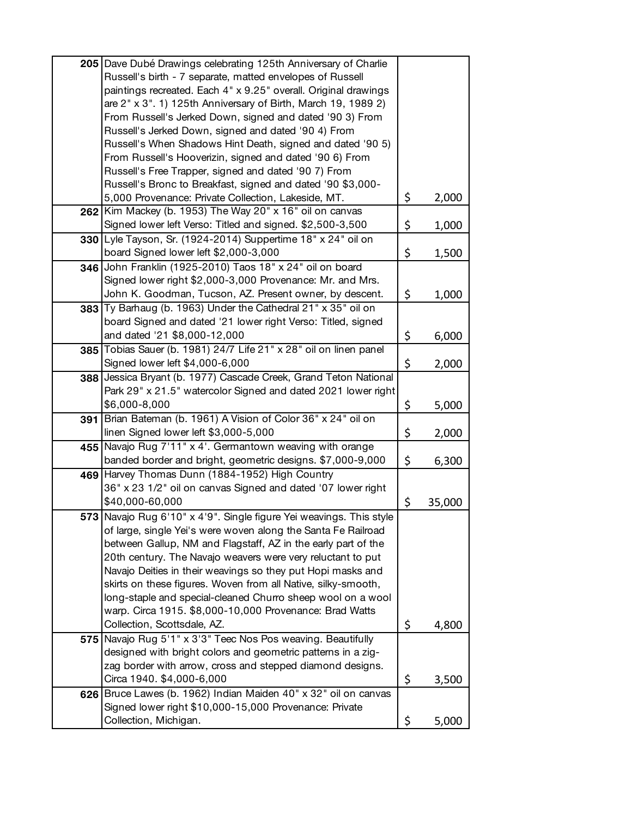|     | 205 Dave Dubé Drawings celebrating 125th Anniversary of Charlie                        |              |
|-----|----------------------------------------------------------------------------------------|--------------|
|     | Russell's birth - 7 separate, matted envelopes of Russell                              |              |
|     | paintings recreated. Each 4" x 9.25" overall. Original drawings                        |              |
|     | are 2" x 3". 1) 125th Anniversary of Birth, March 19, 1989 2)                          |              |
|     | From Russell's Jerked Down, signed and dated '90 3) From                               |              |
|     | Russell's Jerked Down, signed and dated '90 4) From                                    |              |
|     | Russell's When Shadows Hint Death, signed and dated '90 5)                             |              |
|     | From Russell's Hooverizin, signed and dated '90 6) From                                |              |
|     | Russell's Free Trapper, signed and dated '90 7) From                                   |              |
|     | Russell's Bronc to Breakfast, signed and dated '90 \$3,000-                            |              |
|     | 5,000 Provenance: Private Collection, Lakeside, MT.                                    | \$<br>2,000  |
|     | 262 Kim Mackey (b. 1953) The Way 20" x 16" oil on canvas                               |              |
|     | Signed lower left Verso: Titled and signed. \$2,500-3,500                              | \$           |
|     |                                                                                        | 1,000        |
|     | 330 Lyle Tayson, Sr. (1924-2014) Suppertime 18" x 24" oil on                           |              |
|     | board Signed lower left \$2,000-3,000                                                  | \$<br>1,500  |
|     | 346 John Franklin (1925-2010) Taos 18" x 24" oil on board                              |              |
|     | Signed lower right \$2,000-3,000 Provenance: Mr. and Mrs.                              |              |
|     | John K. Goodman, Tucson, AZ. Present owner, by descent.                                | \$<br>1,000  |
|     | 383 Ty Barhaug (b. 1963) Under the Cathedral 21" x 35" oil on                          |              |
|     | board Signed and dated '21 lower right Verso: Titled, signed                           |              |
|     | and dated '21 \$8,000-12,000                                                           | \$<br>6,000  |
| 385 | Tobias Sauer (b. 1981) 24/7 Life 21" x 28" oil on linen panel                          |              |
|     | Signed lower left \$4,000-6,000                                                        | \$<br>2,000  |
| 388 | Jessica Bryant (b. 1977) Cascade Creek, Grand Teton National                           |              |
|     | Park 29" x 21.5" watercolor Signed and dated 2021 lower right                          |              |
|     | \$6,000-8,000                                                                          | \$<br>5,000  |
|     | 391 Brian Bateman (b. 1961) A Vision of Color 36" x 24" oil on                         |              |
|     | linen Signed lower left \$3,000-5,000                                                  | \$<br>2,000  |
| 455 | Navajo Rug 7'11" x 4'. Germantown weaving with orange                                  |              |
|     | banded border and bright, geometric designs. \$7,000-9,000                             | \$<br>6,300  |
|     | 469 Harvey Thomas Dunn (1884-1952) High Country                                        |              |
|     | 36" x 23 1/2" oil on canvas Signed and dated '07 lower right                           |              |
|     | \$40,000-60,000                                                                        | \$<br>35,000 |
|     | 573 Navajo Rug 6'10" x 4'9". Single figure Yei weavings. This style                    |              |
|     | of large, single Yei's were woven along the Santa Fe Railroad                          |              |
|     | between Gallup, NM and Flagstaff, AZ in the early part of the                          |              |
|     | 20th century. The Navajo weavers were very reluctant to put                            |              |
|     | Navajo Deities in their weavings so they put Hopi masks and                            |              |
|     | skirts on these figures. Woven from all Native, silky-smooth,                          |              |
|     | long-staple and special-cleaned Churro sheep wool on a wool                            |              |
|     |                                                                                        |              |
|     | warp. Circa 1915. \$8,000-10,000 Provenance: Brad Watts<br>Collection, Scottsdale, AZ. |              |
|     |                                                                                        | \$<br>4,800  |
| 575 | Navajo Rug 5'1" x 3'3" Teec Nos Pos weaving. Beautifully                               |              |
|     | designed with bright colors and geometric patterns in a zig-                           |              |
|     | zag border with arrow, cross and stepped diamond designs.                              |              |
|     | Circa 1940. \$4,000-6,000                                                              | \$<br>3,500  |
| 626 | Bruce Lawes (b. 1962) Indian Maiden 40" x 32" oil on canvas                            |              |
|     | Signed lower right \$10,000-15,000 Provenance: Private                                 |              |
|     | Collection, Michigan.                                                                  | \$<br>5,000  |